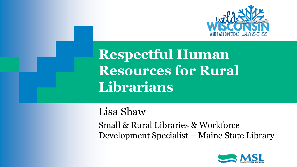

**Respectful Human Resources for Rural Librarians**

Lisa Shaw

Small & Rural Libraries & Workforce Development Specialist – Maine State Library

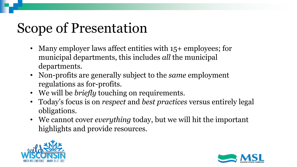# Scope of Presentation

- Many employer laws affect entities with 15+ employees; for municipal departments, this includes *all* the municipal departments.
- Non-profits are generally subject to the *same* employment regulations as for-profits.
- We will be *briefly* touching on requirements.
- Today's focus is on *respect* and *best practices* versus entirely legal obligations.
- We cannot cover *everything* today, but we will hit the important highlights and provide resources.



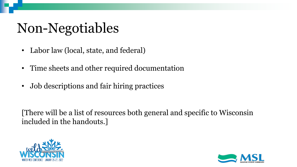# Non-Negotiables

- Labor law (local, state, and federal)
- Time sheets and other required documentation
- Job descriptions and fair hiring practices

[There will be a list of resources both general and specific to Wisconsin included in the handouts.]



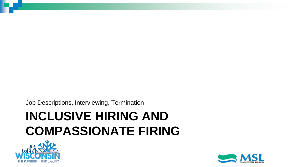Job Descriptions, Interviewing, Termination

## **INCLUSIVE HIRING AND COMPASSIONATE FIRING**



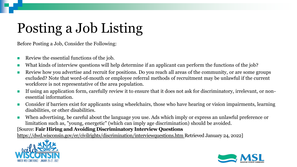# Posting a Job Listing

Before Posting a Job, Consider the Following:

- Review the essential functions of the job.
- What kinds of interview questions will help determine if an applicant can perform the functions of the job?
- Review how you advertise and recruit for positions. Do you reach all areas of the community, or are some groups excluded? Note that word-of-mouth or employee referral methods of recruitment may be unlawful if the current workforce is not representative of the area population.
- If using an application form, carefully review it to ensure that it does not ask for discriminatory, irrelevant, or nonessential information.
- Consider if barriers exist for applicants using wheelchairs, those who have hearing or vision impairments, learning disabilities, or other disabilities.
- When advertising, be careful about the language you use. Ads which imply or express an unlawful preference or limitation such as, "young, energetic" (which can imply age discrimination) should be avoided.

#### [Source: **Fair Hiring and Avoiding Discriminatory Interview Questions**

<https://dwd.wisconsin.gov/er/civilrights/discrimination/interviewquestions.htm> Retrieved January 24, 2022]



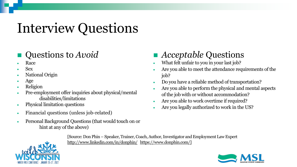# Interview Questions

### ◼ Questions to *Avoid*

- Race
- Sex
- National Origin
- Age
- Religion
- Pre-employment offer inquiries about physical/mental disabilities/limitations
- Physical limitation questions
- Financial questions (unless job-related)
- Personal Background Questions (that would touch on or hint at any of the above)

### ◼ *Acceptable* Questions

- What felt unfair to you in your last job?
- Are you able to meet the attendance requirements of the job?
- Do you have a reliable method of transportation?
- Are you able to perform the physical and mental aspects of the job with or without accommodation?
- Are you able to work overtime if required?
- Are you legally authorized to work in the US?



[Source: Don Phin – Speaker, Trainer, Coach, Author, Investigator and Employment Law Expert <http://www.linkedin.com/in/donphin/> [https://www.donphin.com/\]](https://www.donphin.com/)

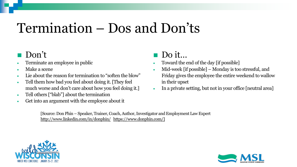## Termination – Dos and Don'ts

### Don't

- Terminate an employee in public
- Make a scene
- Lie about the reason for termination to "soften the blow"
- Tell them how bad you feel about doing it. [They feel much worse and don't care about how you feel doing it.]
- Tell others ["blab"] about the termination
- Get into an argument with the employee about it

### Do it...

- Toward the end of the day [if possible]
- Mid-week [if possible] Monday is too stressful, and Friday gives the employee the entire weekend to wallow in their upset
- In a private setting, but not in your office [neutral area]

[Source: Don Phin – Speaker, Trainer, Coach, Author, Investigator and Employment Law Expert <http://www.linkedin.com/in/donphin/> [https://www.donphin.com/\]](https://www.donphin.com/)



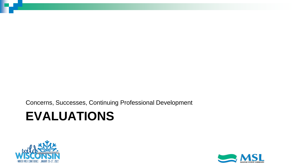Concerns, Successes, Continuing Professional Development

## **EVALUATIONS**



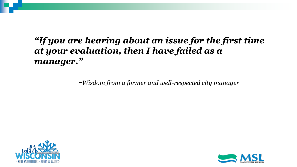### *"If you are hearing about an issue for the first time at your evaluation, then I have failed as a manager."*

*-Wisdom from a former and well-respected city manager*



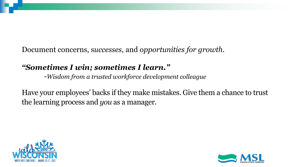Document concerns, s*uccesses*, and o*pportunities for growth.*

### *"Sometimes I win; sometimes I learn."*

*-Wisdom from a trusted workforce development colleague*

Have your employees' backs if they make mistakes. Give them a chance to trust the learning process and *you* as a manager.



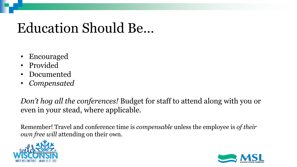## Education Should Be…

- Encouraged
- Provided
- Documented
- *Compensated*

*Don't hog all the conferences!* Budget for staff to attend along with you or even in your stead, where applicable.

Remember! Travel and conference time is *compensable* unless the employee is *of their own free will* attending on their own.



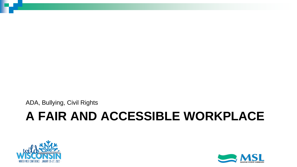ADA, Bullying, Civil Rights

## **A FAIR AND ACCESSIBLE WORKPLACE**



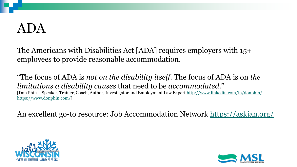## ADA

The Americans with Disabilities Act [ADA] requires employers with 15+ employees to provide reasonable accommodation.

"The focus of ADA is *not on the disability itself*. The focus of ADA is on *the limitations a disability causes* that need to be *accommodated*." [Don Phin – Speaker, Trainer, Coach, Author, Investigator and Employment Law Expert<http://www.linkedin.com/in/donphin/> [https://www.donphin.com/\]](https://www.donphin.com/)

An excellent go-to resource: Job Accommodation Network <https://askjan.org/>



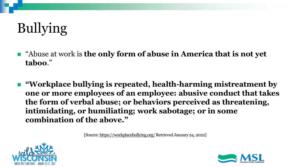# Bullying

- *"Abuse at work is the only form of abuse in America that is not yet* **taboo**."
- ◼ **"Workplace bullying is repeated, health-harming mistreatment by one or more employees of an employee: abusive conduct that takes the form of verbal abuse; or behaviors perceived as threatening, intimidating, or humiliating; work sabotage; or in some combination of the above."**

[Source:<https://workplacebullying.org/> Retrieved January 24, 2022]



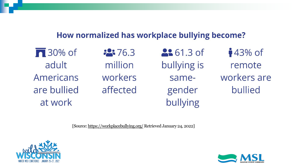#### How normalized has workplace bullying become?

 $\sqrt{ }$  30% of adult Americans are bullied at work

 $2376.3$ million workers affected **2:** 61.3 of bullying is samegender bullying

 $43\%$  of remote workers are bullied

[Source:<https://workplacebullying.org/> Retrieved January 24, 2022]



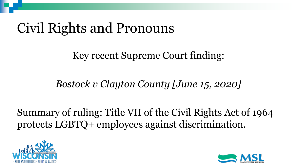# Civil Rights and Pronouns

Key recent Supreme Court finding:

*Bostock v Clayton County [June 15, 2020]*

Summary of ruling: Title VII of the Civil Rights Act of 1964 protects LGBTQ+ employees against discrimination.



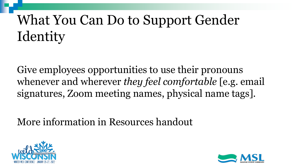# What You Can Do to Support Gender **Identity**

Give employees opportunities to use their pronouns whenever and wherever *they feel comfortable* [e.g. email signatures, Zoom meeting names, physical name tags].

More information in Resources handout



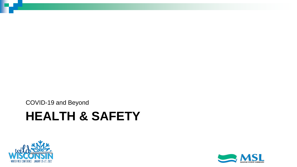**HEALTH & SAFETY** COVID-19 and Beyond



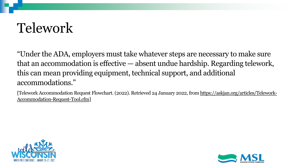# Telework

"Under the ADA, employers must take whatever steps are necessary to make sure that an accommodation is effective — absent undue hardship. Regarding telework, this can mean providing equipment, technical support, and additional accommodations."

[\[Telework Accommodation Request Flowchart. \(2022\). Retrieved 24 January 2022, from https://askjan.org/articles/Telework-](https://askjan.org/articles/Telework-Accommodation-Request-Tool.cfm)Accommodation-Request-Tool.cfm]



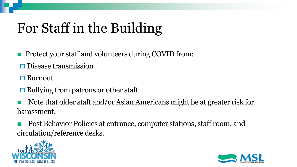# For Staff in the Building

- Protect your staff and volunteers during COVID from:
- $\square$  Disease transmission
- **□** Burnout
- $\Box$  Bullying from patrons or other staff
- Note that older staff and/or Asian Americans might be at greater risk for harassment.
- Post Behavior Policies at entrance, computer stations, staff room, and circulation/reference desks.



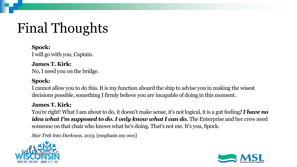# Final Thoughts

### **Spock:**

I will go with you, Captain.

#### **James T. Kirk:** No, I need you on the bridge.

#### **Spock:**

I cannot allow you to do this. It is my function aboard the ship to advise you in making the wisest decisions possible, something I firmly believe you are incapable of doing in this moment.

#### **James T. Kirk:**

You're right! What I am about to do, it doesn't make sense, it's not logical, it is a gut feeling*! I have no idea what I'm supposed to do. I only know what I can do. The Enterprise and her crew need* someone on that chair who knows what he's doing. That's not me. It's you, Spock.

*Star Trek Into Darkness*. 2013. [emphasis my own]